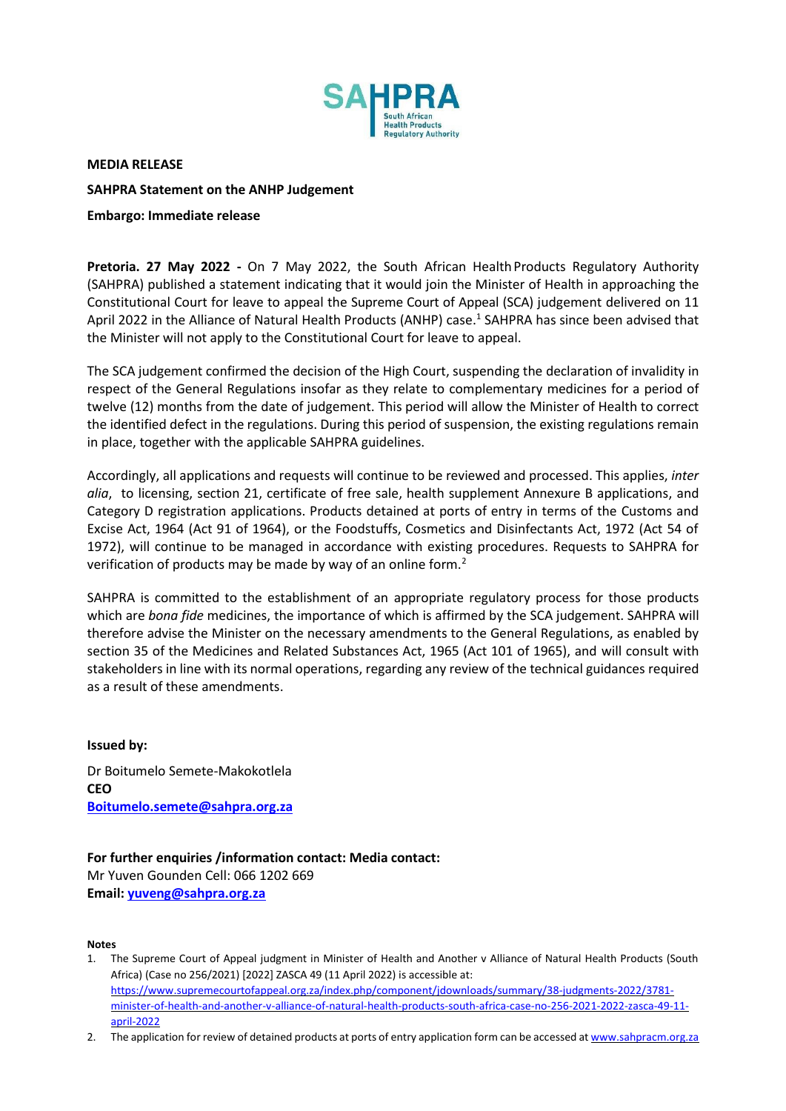

**MEDIA RELEASE**

# **SAHPRA Statement on the ANHP Judgement**

# **Embargo: Immediate release**

**Pretoria. 27 May 2022 -** On 7 May 2022, the South African HealthProducts Regulatory Authority (SAHPRA) published a statement indicating that it would join the Minister of Health in approaching the Constitutional Court for leave to appeal the Supreme Court of Appeal (SCA) judgement delivered on 11 April 2022 in the Alliance of Natural Health Products (ANHP) case.<sup>1</sup> SAHPRA has since been advised that the Minister will not apply to the Constitutional Court for leave to appeal.

The SCA judgement confirmed the decision of the High Court, suspending the declaration of invalidity in respect of the General Regulations insofar as they relate to complementary medicines for a period of twelve (12) months from the date of judgement. This period will allow the Minister of Health to correct the identified defect in the regulations. During this period of suspension, the existing regulations remain in place, together with the applicable SAHPRA guidelines.

Accordingly, all applications and requests will continue to be reviewed and processed. This applies, *inter alia*, to licensing, section 21, certificate of free sale, health supplement Annexure B applications, and Category D registration applications. Products detained at ports of entry in terms of the Customs and Excise Act, 1964 (Act 91 of 1964), or the Foodstuffs, Cosmetics and Disinfectants Act, 1972 (Act 54 of 1972), will continue to be managed in accordance with existing procedures. Requests to SAHPRA for verification of products may be made by way of an online form.<sup>2</sup>

SAHPRA is committed to the establishment of an appropriate regulatory process for those products which are *bona fide* medicines, the importance of which is affirmed by the SCA judgement. SAHPRA will therefore advise the Minister on the necessary amendments to the General Regulations, as enabled by section 35 of the Medicines and Related Substances Act, 1965 (Act 101 of 1965), and will consult with stakeholders in line with its normal operations, regarding any review of the technical guidances required as a result of these amendments.

**Issued by:** Dr Boitumelo Semete-Makokotlela **CEO [Boitumelo.semete@sahpra.org.za](mailto:Boitumelo.semete@sahpra.org.za)**

**For further enquiries /information contact: Media contact:** Mr Yuven Gounden Cell: 066 1202 669 **Email[: yuveng@sahpra.org.za](mailto:yuveng@sahpra.org.za)**

### **Notes**

- 1. The Supreme Court of Appeal judgment in Minister of Health and Another v Alliance of Natural Health Products (South Africa) (Case no 256/2021) [2022] ZASCA 49 (11 April 2022) is accessible at: [https://www.supremecourtofappeal.org.za/index.php/component/jdownloads/summary/38-judgments-2022/3781](https://www.supremecourtofappeal.org.za/index.php/component/jdownloads/summary/38-judgments-2022/3781-minister-of-health-and-another-v-alliance-of-natural-health-products-south-africa-case-no-256-2021-2022-zasca-49-11-april-2022) [minister-of-health-and-another-v-alliance-of-natural-health-products-south-africa-case-no-256-2021-2022-zasca-49-11](https://www.supremecourtofappeal.org.za/index.php/component/jdownloads/summary/38-judgments-2022/3781-minister-of-health-and-another-v-alliance-of-natural-health-products-south-africa-case-no-256-2021-2022-zasca-49-11-april-2022) [april-2022](https://www.supremecourtofappeal.org.za/index.php/component/jdownloads/summary/38-judgments-2022/3781-minister-of-health-and-another-v-alliance-of-natural-health-products-south-africa-case-no-256-2021-2022-zasca-49-11-april-2022)
- 2. The application for review of detained products at ports of entry application form can be accessed a[t www.sahpracm.org.za](http://www.sahpracm.org.za/)